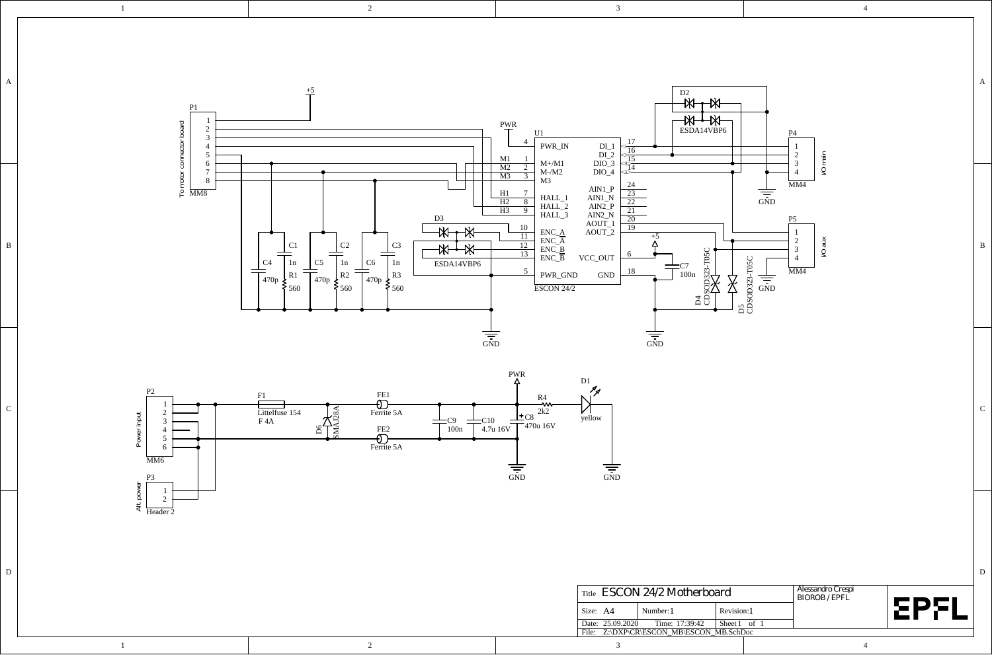

D D



2

1

1

| Title <i>ESCON 24/2 Motherboard</i>      |  |                |              |  | Alessandro Crespi<br><b>BIOROB / EPFL</b> |  |      |
|------------------------------------------|--|----------------|--------------|--|-------------------------------------------|--|------|
| Size: A4                                 |  | Number: 1      | Revision:1   |  |                                           |  | cDcl |
| Date: 25.09.2020                         |  | Time: 17:39:42 | Sheet 1 of 1 |  |                                           |  |      |
| File: Z:\DXP\CR\ESCON MB\ESCON MB.SchDoc |  |                |              |  |                                           |  |      |
|                                          |  |                |              |  |                                           |  |      |

2

3

4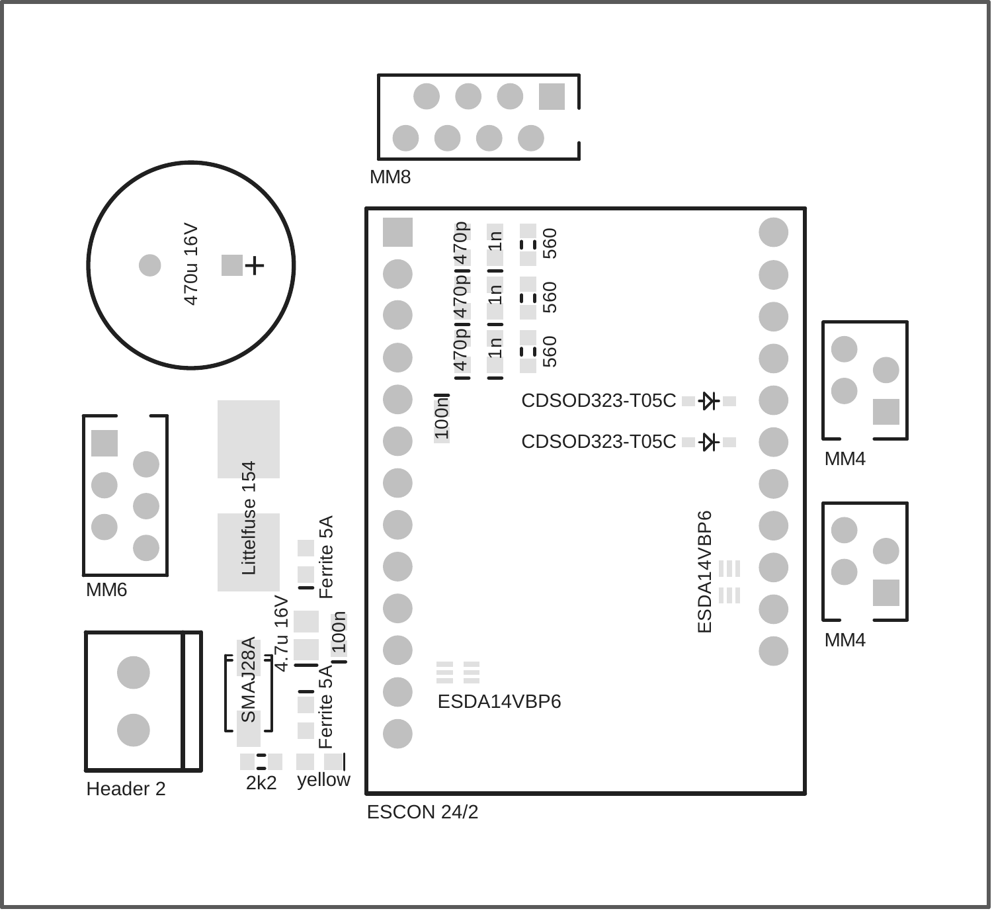